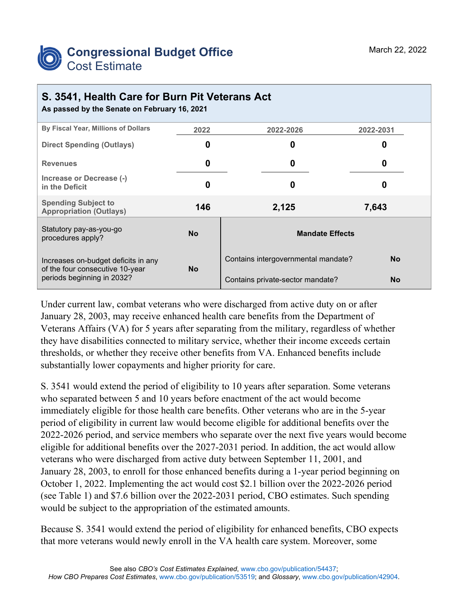

## **S. 3541, Health Care for Burn Pit Veterans Act**

**As passed by the Senate on February 16, 2021**

| By Fiscal Year, Millions of Dollars                                                                  | 2022      | 2022-2026                           | 2022-2031 |  |
|------------------------------------------------------------------------------------------------------|-----------|-------------------------------------|-----------|--|
| <b>Direct Spending (Outlays)</b>                                                                     | 0         | 0                                   | 0         |  |
| <b>Revenues</b>                                                                                      | 0         | 0                                   | 0         |  |
| Increase or Decrease (-)<br>in the Deficit                                                           | 0         | 0                                   | O         |  |
| <b>Spending Subject to</b><br><b>Appropriation (Outlays)</b>                                         | 146       | 2,125                               | 7,643     |  |
| Statutory pay-as-you-go<br>procedures apply?                                                         | <b>No</b> | <b>Mandate Effects</b>              |           |  |
| Increases on-budget deficits in any<br>of the four consecutive 10-year<br>periods beginning in 2032? | <b>No</b> | Contains intergovernmental mandate? | No        |  |
|                                                                                                      |           | Contains private-sector mandate?    | No        |  |

Under current law, combat veterans who were discharged from active duty on or after January 28, 2003, may receive enhanced health care benefits from the Department of Veterans Affairs (VA) for 5 years after separating from the military, regardless of whether they have disabilities connected to military service, whether their income exceeds certain thresholds, or whether they receive other benefits from VA. Enhanced benefits include substantially lower copayments and higher priority for care.

S. 3541 would extend the period of eligibility to 10 years after separation. Some veterans who separated between 5 and 10 years before enactment of the act would become immediately eligible for those health care benefits. Other veterans who are in the 5-year period of eligibility in current law would become eligible for additional benefits over the 2022-2026 period, and service members who separate over the next five years would become eligible for additional benefits over the 2027-2031 period. In addition, the act would allow veterans who were discharged from active duty between September 11, 2001, and January 28, 2003, to enroll for those enhanced benefits during a 1-year period beginning on October 1, 2022. Implementing the act would cost \$2.1 billion over the 2022-2026 period (see Table 1) and \$7.6 billion over the 2022-2031 period, CBO estimates. Such spending would be subject to the appropriation of the estimated amounts.

Because S. 3541 would extend the period of eligibility for enhanced benefits, CBO expects that more veterans would newly enroll in the VA health care system. Moreover, some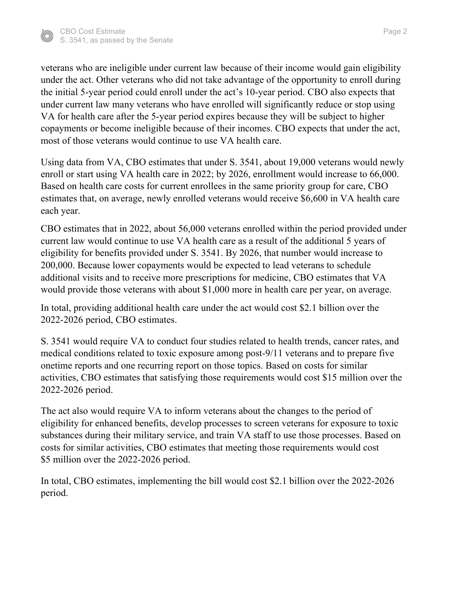

veterans who are ineligible under current law because of their income would gain eligibility under the act. Other veterans who did not take advantage of the opportunity to enroll during the initial 5-year period could enroll under the act's 10-year period. CBO also expects that under current law many veterans who have enrolled will significantly reduce or stop using VA for health care after the 5-year period expires because they will be subject to higher copayments or become ineligible because of their incomes. CBO expects that under the act, most of those veterans would continue to use VA health care.

Using data from VA, CBO estimates that under S. 3541, about 19,000 veterans would newly enroll or start using VA health care in 2022; by 2026, enrollment would increase to 66,000. Based on health care costs for current enrollees in the same priority group for care, CBO estimates that, on average, newly enrolled veterans would receive \$6,600 in VA health care each year.

CBO estimates that in 2022, about 56,000 veterans enrolled within the period provided under current law would continue to use VA health care as a result of the additional 5 years of eligibility for benefits provided under S. 3541. By 2026, that number would increase to 200,000. Because lower copayments would be expected to lead veterans to schedule additional visits and to receive more prescriptions for medicine, CBO estimates that VA would provide those veterans with about \$1,000 more in health care per year, on average.

In total, providing additional health care under the act would cost \$2.1 billion over the 2022-2026 period, CBO estimates.

S. 3541 would require VA to conduct four studies related to health trends, cancer rates, and medical conditions related to toxic exposure among post-9/11 veterans and to prepare five onetime reports and one recurring report on those topics. Based on costs for similar activities, CBO estimates that satisfying those requirements would cost \$15 million over the 2022-2026 period.

The act also would require VA to inform veterans about the changes to the period of eligibility for enhanced benefits, develop processes to screen veterans for exposure to toxic substances during their military service, and train VA staff to use those processes. Based on costs for similar activities, CBO estimates that meeting those requirements would cost \$5 million over the 2022-2026 period.

In total, CBO estimates, implementing the bill would cost \$2.1 billion over the 2022-2026 period.